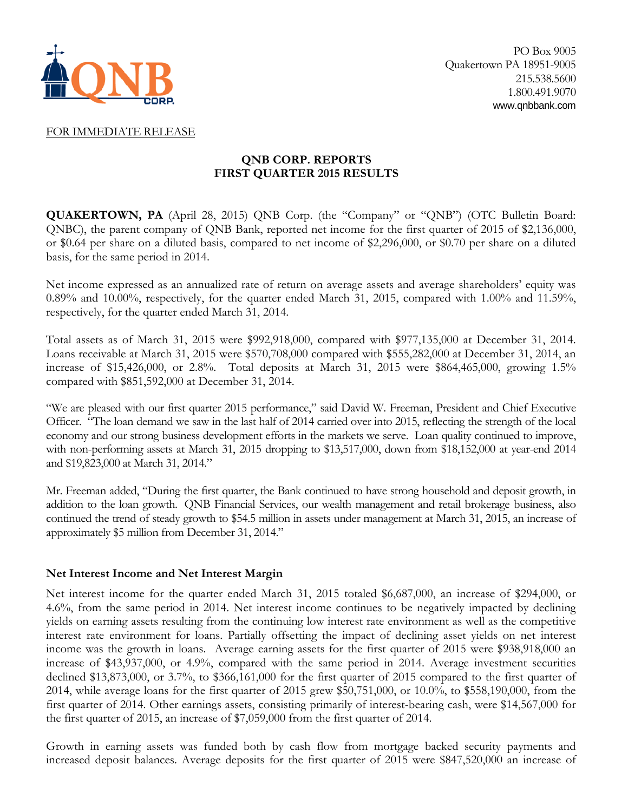

### FOR IMMEDIATE RELEASE

# **QNB CORP. REPORTS FIRST QUARTER 2015 RESULTS**

**QUAKERTOWN, PA** (April 28, 2015) QNB Corp. (the "Company" or "QNB") (OTC Bulletin Board: QNBC), the parent company of QNB Bank, reported net income for the first quarter of 2015 of \$2,136,000, or \$0.64 per share on a diluted basis, compared to net income of \$2,296,000, or \$0.70 per share on a diluted basis, for the same period in 2014.

Net income expressed as an annualized rate of return on average assets and average shareholders' equity was 0.89% and 10.00%, respectively, for the quarter ended March 31, 2015, compared with 1.00% and 11.59%, respectively, for the quarter ended March 31, 2014.

Total assets as of March 31, 2015 were \$992,918,000, compared with \$977,135,000 at December 31, 2014. Loans receivable at March 31, 2015 were \$570,708,000 compared with \$555,282,000 at December 31, 2014, an increase of \$15,426,000, or 2.8%. Total deposits at March 31, 2015 were \$864,465,000, growing 1.5% compared with \$851,592,000 at December 31, 2014.

"We are pleased with our first quarter 2015 performance," said David W. Freeman, President and Chief Executive Officer. "The loan demand we saw in the last half of 2014 carried over into 2015, reflecting the strength of the local economy and our strong business development efforts in the markets we serve. Loan quality continued to improve, with non-performing assets at March 31, 2015 dropping to \$13,517,000, down from \$18,152,000 at year-end 2014 and \$19,823,000 at March 31, 2014."

Mr. Freeman added, "During the first quarter, the Bank continued to have strong household and deposit growth, in addition to the loan growth. QNB Financial Services, our wealth management and retail brokerage business, also continued the trend of steady growth to \$54.5 million in assets under management at March 31, 2015, an increase of approximately \$5 million from December 31, 2014."

### **Net Interest Income and Net Interest Margin**

Net interest income for the quarter ended March 31, 2015 totaled \$6,687,000, an increase of \$294,000, or 4.6%, from the same period in 2014. Net interest income continues to be negatively impacted by declining yields on earning assets resulting from the continuing low interest rate environment as well as the competitive interest rate environment for loans. Partially offsetting the impact of declining asset yields on net interest income was the growth in loans. Average earning assets for the first quarter of 2015 were \$938,918,000 an increase of \$43,937,000, or 4.9%, compared with the same period in 2014. Average investment securities declined \$13,873,000, or 3.7%, to \$366,161,000 for the first quarter of 2015 compared to the first quarter of 2014, while average loans for the first quarter of 2015 grew \$50,751,000, or 10.0%, to \$558,190,000, from the first quarter of 2014. Other earnings assets, consisting primarily of interest-bearing cash, were \$14,567,000 for the first quarter of 2015, an increase of \$7,059,000 from the first quarter of 2014.

Growth in earning assets was funded both by cash flow from mortgage backed security payments and increased deposit balances. Average deposits for the first quarter of 2015 were \$847,520,000 an increase of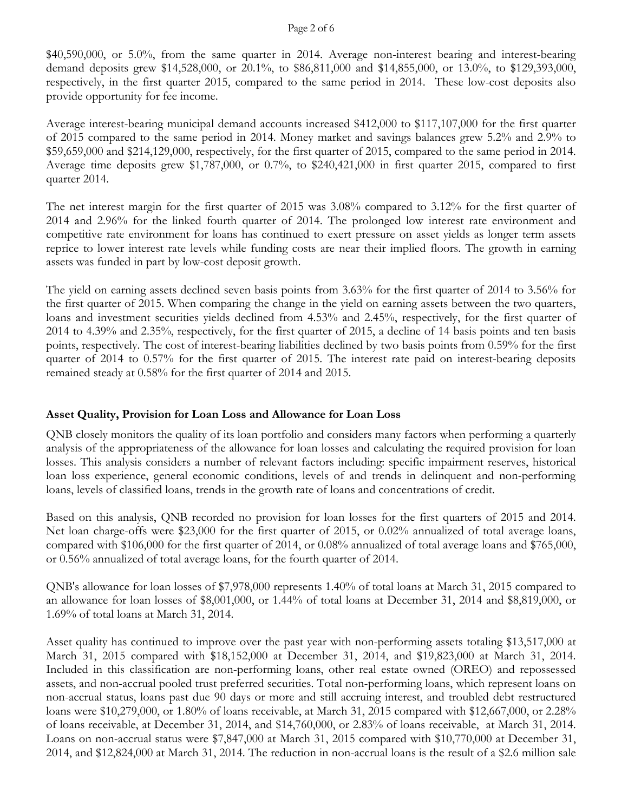#### Page 2 of 6

\$40,590,000, or 5.0%, from the same quarter in 2014. Average non-interest bearing and interest-bearing demand deposits grew \$14,528,000, or 20.1%, to \$86,811,000 and \$14,855,000, or 13.0%, to \$129,393,000, respectively, in the first quarter 2015, compared to the same period in 2014. These low-cost deposits also provide opportunity for fee income.

Average interest-bearing municipal demand accounts increased \$412,000 to \$117,107,000 for the first quarter of 2015 compared to the same period in 2014. Money market and savings balances grew 5.2% and 2.9% to \$59,659,000 and \$214,129,000, respectively, for the first quarter of 2015, compared to the same period in 2014. Average time deposits grew \$1,787,000, or 0.7%, to \$240,421,000 in first quarter 2015, compared to first quarter 2014.

The net interest margin for the first quarter of 2015 was 3.08% compared to 3.12% for the first quarter of 2014 and 2.96% for the linked fourth quarter of 2014. The prolonged low interest rate environment and competitive rate environment for loans has continued to exert pressure on asset yields as longer term assets reprice to lower interest rate levels while funding costs are near their implied floors. The growth in earning assets was funded in part by low-cost deposit growth.

The yield on earning assets declined seven basis points from 3.63% for the first quarter of 2014 to 3.56% for the first quarter of 2015. When comparing the change in the yield on earning assets between the two quarters, loans and investment securities yields declined from 4.53% and 2.45%, respectively, for the first quarter of 2014 to 4.39% and 2.35%, respectively, for the first quarter of 2015, a decline of 14 basis points and ten basis points, respectively. The cost of interest-bearing liabilities declined by two basis points from 0.59% for the first quarter of 2014 to 0.57% for the first quarter of 2015. The interest rate paid on interest-bearing deposits remained steady at 0.58% for the first quarter of 2014 and 2015.

# **Asset Quality, Provision for Loan Loss and Allowance for Loan Loss**

QNB closely monitors the quality of its loan portfolio and considers many factors when performing a quarterly analysis of the appropriateness of the allowance for loan losses and calculating the required provision for loan losses. This analysis considers a number of relevant factors including: specific impairment reserves, historical loan loss experience, general economic conditions, levels of and trends in delinquent and non-performing loans, levels of classified loans, trends in the growth rate of loans and concentrations of credit.

Based on this analysis, QNB recorded no provision for loan losses for the first quarters of 2015 and 2014. Net loan charge-offs were \$23,000 for the first quarter of 2015, or 0.02% annualized of total average loans, compared with \$106,000 for the first quarter of 2014, or 0.08% annualized of total average loans and \$765,000, or 0.56% annualized of total average loans, for the fourth quarter of 2014.

QNB's allowance for loan losses of \$7,978,000 represents 1.40% of total loans at March 31, 2015 compared to an allowance for loan losses of \$8,001,000, or 1.44% of total loans at December 31, 2014 and \$8,819,000, or 1.69% of total loans at March 31, 2014.

Asset quality has continued to improve over the past year with non-performing assets totaling \$13,517,000 at March 31, 2015 compared with \$18,152,000 at December 31, 2014, and \$19,823,000 at March 31, 2014. Included in this classification are non-performing loans, other real estate owned (OREO) and repossessed assets, and non-accrual pooled trust preferred securities. Total non-performing loans, which represent loans on non-accrual status, loans past due 90 days or more and still accruing interest, and troubled debt restructured loans were \$10,279,000, or 1.80% of loans receivable, at March 31, 2015 compared with \$12,667,000, or 2.28% of loans receivable, at December 31, 2014, and \$14,760,000, or 2.83% of loans receivable, at March 31, 2014. Loans on non-accrual status were \$7,847,000 at March 31, 2015 compared with \$10,770,000 at December 31, 2014, and \$12,824,000 at March 31, 2014. The reduction in non-accrual loans is the result of a \$2.6 million sale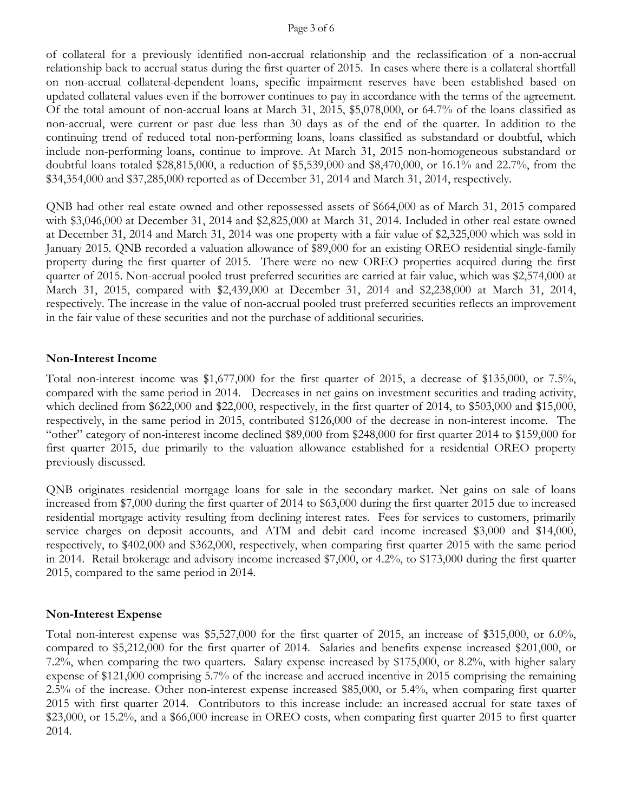#### Page 3 of 6

of collateral for a previously identified non-accrual relationship and the reclassification of a non-accrual relationship back to accrual status during the first quarter of 2015. In cases where there is a collateral shortfall on non-accrual collateral-dependent loans, specific impairment reserves have been established based on updated collateral values even if the borrower continues to pay in accordance with the terms of the agreement. Of the total amount of non-accrual loans at March 31, 2015, \$5,078,000, or 64.7% of the loans classified as non-accrual, were current or past due less than 30 days as of the end of the quarter. In addition to the continuing trend of reduced total non-performing loans, loans classified as substandard or doubtful, which include non-performing loans, continue to improve. At March 31, 2015 non-homogeneous substandard or doubtful loans totaled \$28,815,000, a reduction of \$5,539,000 and \$8,470,000, or 16.1% and 22.7%, from the \$34,354,000 and \$37,285,000 reported as of December 31, 2014 and March 31, 2014, respectively.

QNB had other real estate owned and other repossessed assets of \$664,000 as of March 31, 2015 compared with \$3,046,000 at December 31, 2014 and \$2,825,000 at March 31, 2014. Included in other real estate owned at December 31, 2014 and March 31, 2014 was one property with a fair value of \$2,325,000 which was sold in January 2015. QNB recorded a valuation allowance of \$89,000 for an existing OREO residential single-family property during the first quarter of 2015. There were no new OREO properties acquired during the first quarter of 2015. Non-accrual pooled trust preferred securities are carried at fair value, which was \$2,574,000 at March 31, 2015, compared with \$2,439,000 at December 31, 2014 and \$2,238,000 at March 31, 2014, respectively. The increase in the value of non-accrual pooled trust preferred securities reflects an improvement in the fair value of these securities and not the purchase of additional securities.

#### **Non-Interest Income**

Total non-interest income was \$1,677,000 for the first quarter of 2015, a decrease of \$135,000, or 7.5%, compared with the same period in 2014. Decreases in net gains on investment securities and trading activity, which declined from \$622,000 and \$22,000, respectively, in the first quarter of 2014, to \$503,000 and \$15,000, respectively, in the same period in 2015, contributed \$126,000 of the decrease in non-interest income. The "other" category of non-interest income declined \$89,000 from \$248,000 for first quarter 2014 to \$159,000 for first quarter 2015, due primarily to the valuation allowance established for a residential OREO property previously discussed.

QNB originates residential mortgage loans for sale in the secondary market. Net gains on sale of loans increased from \$7,000 during the first quarter of 2014 to \$63,000 during the first quarter 2015 due to increased residential mortgage activity resulting from declining interest rates. Fees for services to customers, primarily service charges on deposit accounts, and ATM and debit card income increased \$3,000 and \$14,000, respectively, to \$402,000 and \$362,000, respectively, when comparing first quarter 2015 with the same period in 2014. Retail brokerage and advisory income increased \$7,000, or 4.2%, to \$173,000 during the first quarter 2015, compared to the same period in 2014.

### **Non-Interest Expense**

Total non-interest expense was \$5,527,000 for the first quarter of 2015, an increase of \$315,000, or 6.0%, compared to \$5,212,000 for the first quarter of 2014. Salaries and benefits expense increased \$201,000, or 7.2%, when comparing the two quarters. Salary expense increased by \$175,000, or 8.2%, with higher salary expense of \$121,000 comprising 5.7% of the increase and accrued incentive in 2015 comprising the remaining 2.5% of the increase. Other non-interest expense increased \$85,000, or 5.4%, when comparing first quarter 2015 with first quarter 2014. Contributors to this increase include: an increased accrual for state taxes of \$23,000, or 15.2%, and a \$66,000 increase in OREO costs, when comparing first quarter 2015 to first quarter 2014.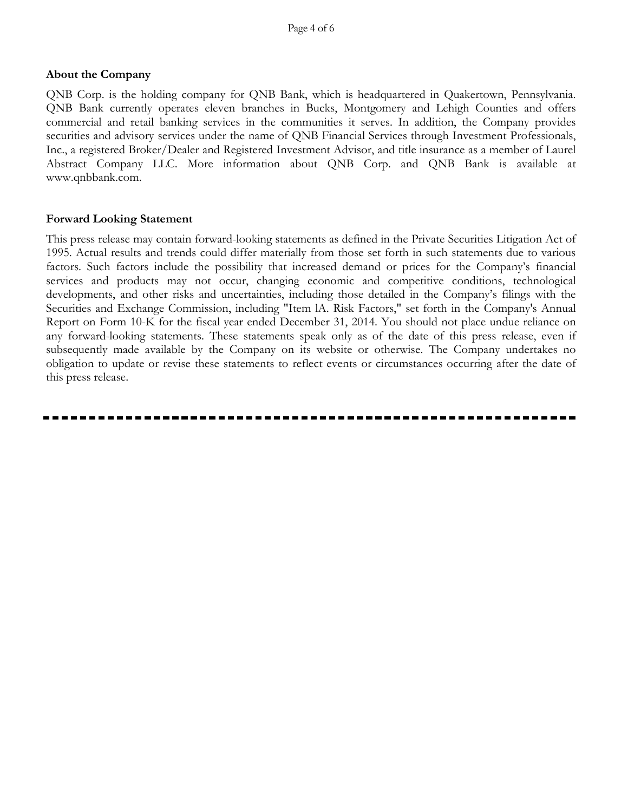## **About the Company**

QNB Corp. is the holding company for QNB Bank, which is headquartered in Quakertown, Pennsylvania. QNB Bank currently operates eleven branches in Bucks, Montgomery and Lehigh Counties and offers commercial and retail banking services in the communities it serves. In addition, the Company provides securities and advisory services under the name of QNB Financial Services through Investment Professionals, Inc., a registered Broker/Dealer and Registered Investment Advisor, and title insurance as a member of Laurel Abstract Company LLC. More information about QNB Corp. and QNB Bank is available at www.qnbbank.com.

## **Forward Looking Statement**

This press release may contain forward-looking statements as defined in the Private Securities Litigation Act of 1995. Actual results and trends could differ materially from those set forth in such statements due to various factors. Such factors include the possibility that increased demand or prices for the Company's financial services and products may not occur, changing economic and competitive conditions, technological developments, and other risks and uncertainties, including those detailed in the Company's filings with the Securities and Exchange Commission, including "Item lA. Risk Factors," set forth in the Company's Annual Report on Form 10-K for the fiscal year ended December 31, 2014. You should not place undue reliance on any forward-looking statements. These statements speak only as of the date of this press release, even if subsequently made available by the Company on its website or otherwise. The Company undertakes no obligation to update or revise these statements to reflect events or circumstances occurring after the date of this press release.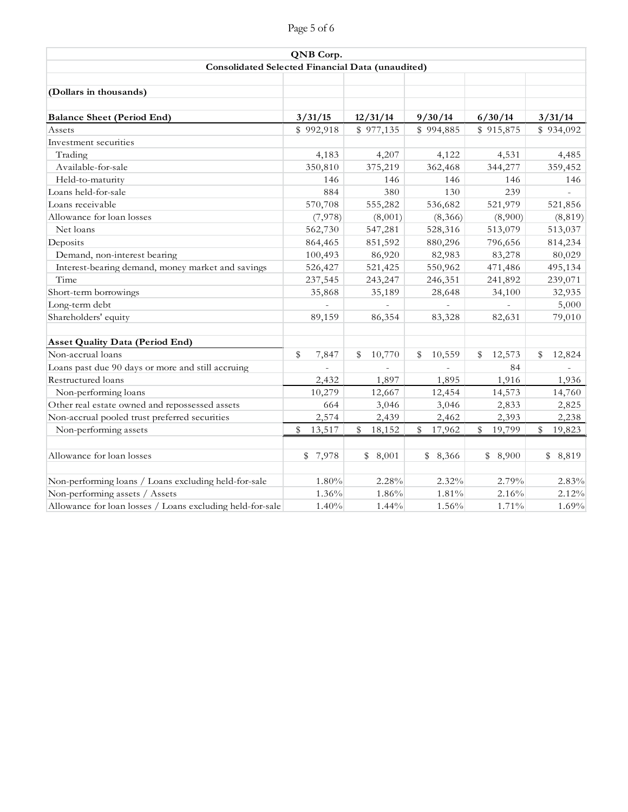| Page 5 of 6 |  |
|-------------|--|
|-------------|--|

|                                                           | QNB Corp.    |              |              |              |              |
|-----------------------------------------------------------|--------------|--------------|--------------|--------------|--------------|
| Consolidated Selected Financial Data (unaudited)          |              |              |              |              |              |
|                                                           |              |              |              |              |              |
| (Dollars in thousands)                                    |              |              |              |              |              |
|                                                           |              |              |              |              |              |
| <b>Balance Sheet (Period End)</b>                         | 3/31/15      | 12/31/14     | 9/30/14      | 6/30/14      | 3/31/14      |
| Assets                                                    | \$992,918    | \$977,135    | \$994,885    | \$915,875    | \$934,092    |
| Investment securities                                     |              |              |              |              |              |
| Trading                                                   | 4,183        | 4,207        | 4,122        | 4,531        | 4,485        |
| Available-for-sale                                        | 350,810      | 375,219      | 362,468      | 344,277      | 359,452      |
| Held-to-maturity                                          | 146          | 146          | 146          | 146          | 146          |
| Loans held-for-sale                                       | 884          | 380          | 130          | 239          |              |
| Loans receivable                                          | 570,708      | 555,282      | 536,682      | 521,979      | 521,856      |
| Allowance for loan losses                                 | (7,978)      | (8,001)      | (8,366)      | (8,900)      | (8, 819)     |
| Net loans                                                 | 562,730      | 547,281      | 528,316      | 513,079      | 513,037      |
| Deposits                                                  | 864,465      | 851,592      | 880,296      | 796,656      | 814,234      |
| Demand, non-interest bearing                              | 100,493      | 86,920       | 82,983       | 83,278       | 80,029       |
| Interest-bearing demand, money market and savings         | 526,427      | 521,425      | 550,962      | 471,486      | 495,134      |
| Time                                                      | 237,545      | 243,247      | 246,351      | 241,892      | 239,071      |
| Short-term borrowings                                     | 35,868       | 35,189       | 28,648       | 34,100       | 32,935       |
| Long-term debt                                            |              |              |              |              | 5,000        |
| Shareholders' equity                                      | 89,159       | 86,354       | 83,328       | 82,631       | 79,010       |
|                                                           |              |              |              |              |              |
| <b>Asset Quality Data (Period End)</b>                    |              |              |              |              |              |
| Non-accrual loans                                         | \$<br>7,847  | \$<br>10,770 | 10,559<br>\$ | 12,573<br>\$ | 12,824<br>\$ |
| Loans past due 90 days or more and still accruing         |              |              |              | 84           |              |
| Restructured loans                                        | 2,432        | 1,897        | 1,895        | 1,916        | 1,936        |
| Non-performing loans                                      | 10,279       | 12,667       | 12,454       | 14,573       | 14,760       |
| Other real estate owned and repossessed assets            | 664          | 3,046        | 3,046        | 2,833        | 2,825        |
| Non-accrual pooled trust preferred securities             | 2,574        | 2,439        | 2,462        | 2,393        | 2,238        |
| Non-performing assets                                     | \$<br>13,517 | \$<br>18,152 | \$<br>17,962 | 19,799<br>\$ | \$<br>19,823 |
|                                                           |              |              |              |              |              |
| Allowance for loan losses                                 | \$7,978      | 8,001<br>\$  | \$8,366      | \$8,900      | \$<br>8,819  |
| Non-performing loans / Loans excluding held-for-sale      | 1.80%        | 2.28%        | 2.32%        | 2.79%        | 2.83%        |
| Non-performing assets / Assets                            | 1.36%        | 1.86%        | 1.81%        | 2.16%        | 2.12%        |
| Allowance for loan losses / Loans excluding held-for-sale | 1.40%        | 1.44%        | 1.56%        | 1.71%        | 1.69%        |